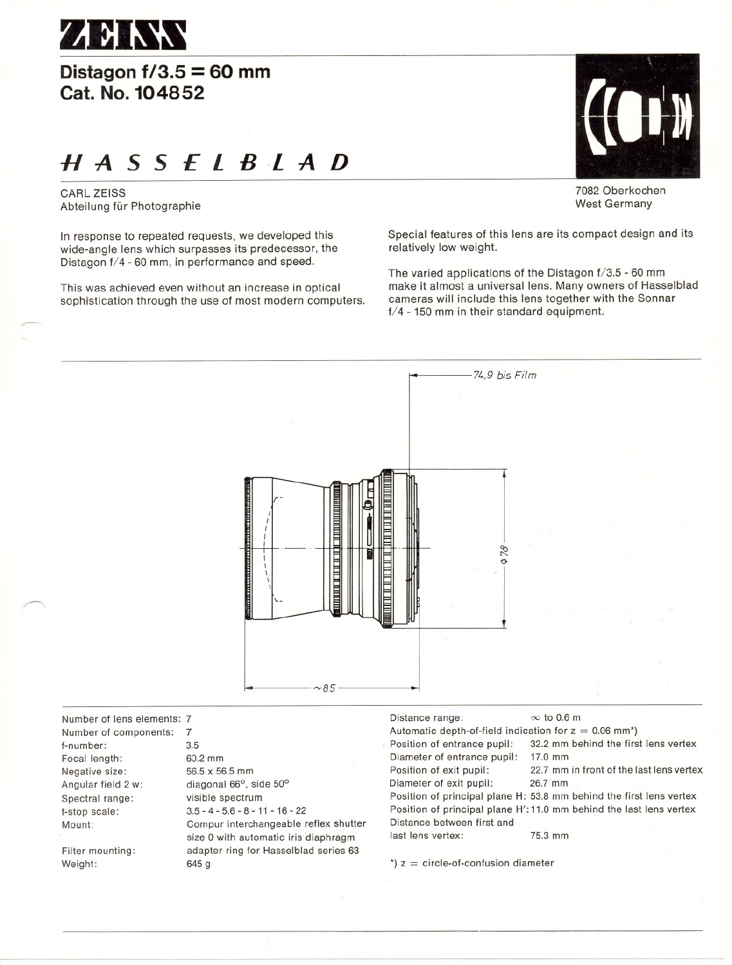

## **Distagon1/3.5 = 60 mm Cat. No. 104852**

# H ASS *E l B .l* A *D*

CARl ZEISS Abteilung für Photographie

~

 $\overline{\phantom{0}}$ 

In response to repeated requests, we developed this wide-angle leng which surpasses its predecessor, the Distagon f/4 - 60 mm, in performance and speed.

This was achieved even without an increase in optical sophistication through the use of most modern computers.



7082 Oberkochen West Germany

Special features of this lens are its compact design and its relatively low weight.

The varied applications of the Distagon f/3.5 - 60 mm make it almost a universal lens. Many owners of Hasselblad cameras will include this leng together with the Sonnar f/4 - 150 mm in their standard equipment.



Number of lens elements: 7 Number of eomponents: 7 f-number: 3.5 Foeal length: 60.2 mm Negative size: 56.5 x 56.5 mm Angular field 2 w: diagonal 66°, side 50° Spectral range: visible spectrum f-stopseale: 3.5-4-5.6-8-11-16-22

Filter mounting: Weight:

Compur interchangeable reflex shutter size 0 with automatic iris diaphragm adapter ring tor Hasselblad series 63 645 g

Distance range:  $\infty$  to 0.6 m Automatic depth-of-field indication for  $z = 0.06$  mm<sup>\*</sup>)<br>Position of entrance pupil: 32.2 mm behind the firs 32.2 mm behind the first lens vertex<br>17.0 mm Diameter of entrance pupil:<br>Position of exit pupil: 22.7 mm in front of the last lens vertex<br>26.7 mm Diameter of exit pupil: Position of principal plane H: 53.8 mm behind the first lens vertex Position of principal plane H': 11.0 mm behind the last lens vertex Distanee between first and last lens vertex: 75.3 mm

 $t$ )  $z =$  circle-of-confusion diameter